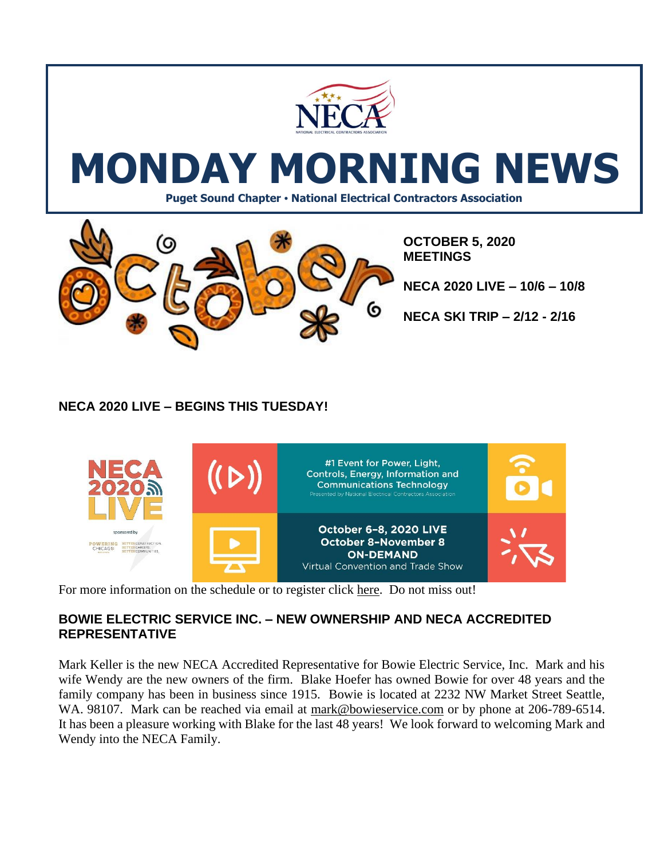

# **MONDAY MORNING NEWS**

**Puget Sound Chapter • National Electrical Contractors Association**



**OCTOBER 5, 2020 MEETINGS**

**NECA 2020 LIVE – 10/6 – 10/8**

**NECA SKI TRIP – 2/12 - 2/16**

# **NECA 2020 LIVE – BEGINS THIS TUESDAY!**



For more information on the schedule or to register click [here.](https://www.necaconvention.org/convention/schedule/) Do not miss out!

### **BOWIE ELECTRIC SERVICE INC. – NEW OWNERSHIP AND NECA ACCREDITED REPRESENTATIVE**

Mark Keller is the new NECA Accredited Representative for Bowie Electric Service, Inc. Mark and his wife Wendy are the new owners of the firm. Blake Hoefer has owned Bowie for over 48 years and the family company has been in business since 1915. Bowie is located at 2232 NW Market Street Seattle, WA. 98107. Mark can be reached via email at [mark@bowieservice.com](mailto:mark@bowieservice.com) or by phone at 206-789-6514. It has been a pleasure working with Blake for the last 48 years! We look forward to welcoming Mark and Wendy into the NECA Family.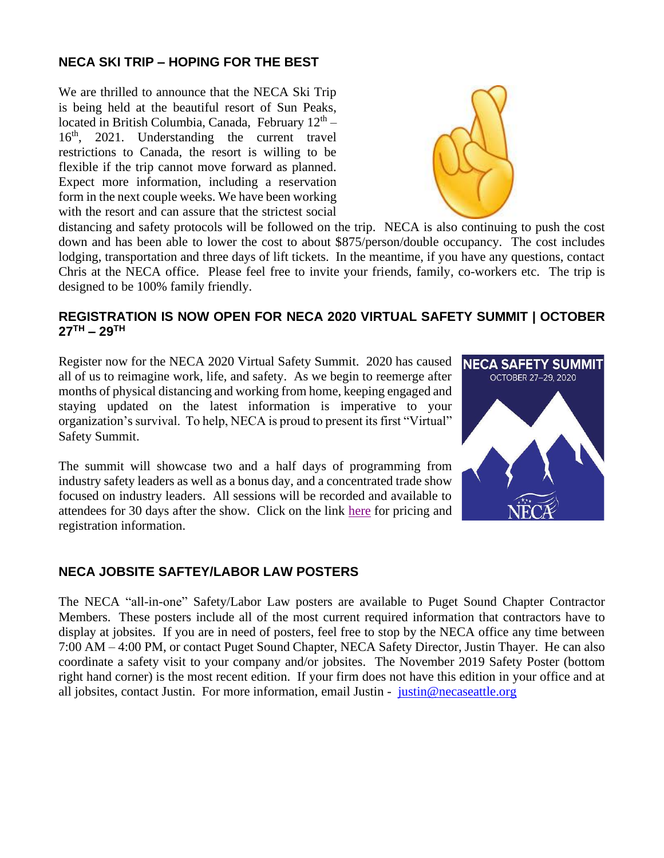### **NECA SKI TRIP – HOPING FOR THE BEST**

We are thrilled to announce that the NECA Ski Trip is being held at the beautiful resort of Sun Peaks, located in British Columbia, Canada, February 12<sup>th</sup> – 16th, 2021. Understanding the current travel restrictions to Canada, the resort is willing to be flexible if the trip cannot move forward as planned. Expect more information, including a reservation form in the next couple weeks. We have been working with the resort and can assure that the strictest social



distancing and safety protocols will be followed on the trip. NECA is also continuing to push the cost down and has been able to lower the cost to about \$875/person/double occupancy. The cost includes lodging, transportation and three days of lift tickets. In the meantime, if you have any questions, contact Chris at the NECA office. Please feel free to invite your friends, family, co-workers etc. The trip is designed to be 100% family friendly.

#### **REGISTRATION IS NOW OPEN FOR NECA 2020 VIRTUAL SAFETY SUMMIT | OCTOBER 27TH – 29TH**

Register now for the NECA 2020 Virtual Safety Summit. 2020 has caused all of us to reimagine work, life, and safety. As we begin to reemerge after months of physical distancing and working from home, keeping engaged and staying updated on the latest information is imperative to your organization's survival. To help, NECA is proud to present its first "Virtual" Safety Summit.

The summit will showcase two and a half days of programming from industry safety leaders as well as a bonus day, and a concentrated trade show focused on industry leaders. All sessions will be recorded and available to attendees for 30 days after the show. Click on the link [here](https://www.necasafetyconference.com/?utm_campaign=Safety%20Network&utm_medium=email&_hsmi=95576851&_hsenc=p2ANqtz-_YecvgzbmS2uEpIq_rp7HBBDUF-DUOaJosmwV48mzGJLT4_wfGJUkY7g43xlwZ4l7sD3Vn4GkPLggED2n572my3yupTg&utm_content=95576851&utm_source=hs_email) for pricing and registration information.



#### **NECA JOBSITE SAFTEY/LABOR LAW POSTERS**

The NECA "all-in-one" Safety/Labor Law posters are available to Puget Sound Chapter Contractor Members. These posters include all of the most current required information that contractors have to display at jobsites. If you are in need of posters, feel free to stop by the NECA office any time between 7:00 AM – 4:00 PM, or contact Puget Sound Chapter, NECA Safety Director, Justin Thayer. He can also coordinate a safety visit to your company and/or jobsites. The November 2019 Safety Poster (bottom right hand corner) is the most recent edition. If your firm does not have this edition in your office and at all jobsites, contact Justin. For more information, email Justin - [justin@necaseattle.org](mailto:justin@necaseattle.org)